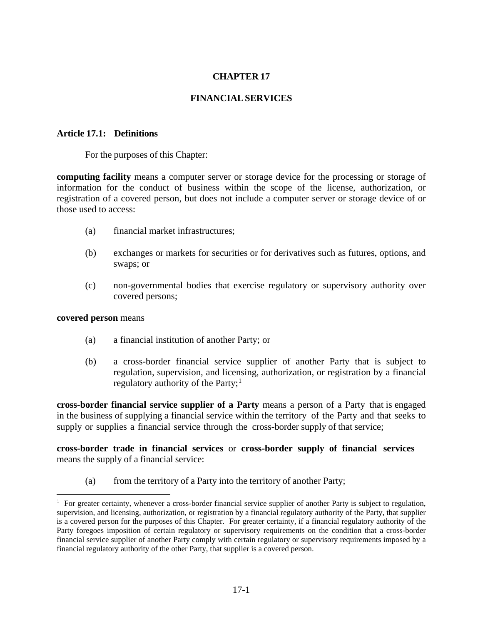## **CHAPTER 17**

## **FINANCIALSERVICES**

### **Article 17.1: Definitions**

For the purposes of this Chapter:

**computing facility** means a computer server or storage device for the processing or storage of information for the conduct of business within the scope of the license, authorization, or registration of a covered person, but does not include a computer server or storage device of or those used to access:

- (a) financial market infrastructures;
- (b) exchanges or markets for securities or for derivatives such as futures, options, and swaps; or
- (c) non-governmental bodies that exercise regulatory or supervisory authority over covered persons;

#### **covered person** means

 $\overline{a}$ 

- (a) a financial institution of another Party; or
- (b) a cross-border financial service supplier of another Party that is subject to regulation, supervision, and licensing, authorization, or registration by a financial regulatory authority of the Party;<sup>[1](#page-0-0)</sup>

**cross-border financial service supplier of a Party** means a person of a Party that is engaged in the business of supplying a financial service within the territory of the Party and that seeks to supply or supplies a financial service through the cross-border supply of that service;

**cross-border trade in financial services** or **cross-border supply of financial services** means the supply of a financial service:

(a) from the territory of a Party into the territory of another Party;

<span id="page-0-0"></span><sup>&</sup>lt;sup>1</sup> For greater certainty, whenever a cross-border financial service supplier of another Party is subject to regulation, supervision, and licensing, authorization, or registration by a financial regulatory authority of the Party, that supplier is a covered person for the purposes of this Chapter. For greater certainty, if a financial regulatory authority of the Party foregoes imposition of certain regulatory or supervisory requirements on the condition that a cross-border financial service supplier of another Party comply with certain regulatory or supervisory requirements imposed by a financial regulatory authority of the other Party, that supplier is a covered person.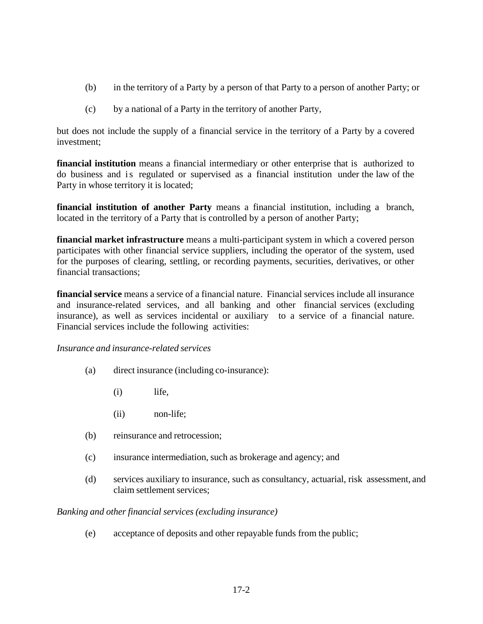- (b) in the territory of a Party by a person of that Party to a person of another Party; or
- (c) by a national of a Party in the territory of another Party,

but does not include the supply of a financial service in the territory of a Party by a covered investment;

**financial institution** means a financial intermediary or other enterprise that is authorized to do business and is regulated or supervised as a financial institution under the law of the Party in whose territory it is located;

**financial institution of another Party** means a financial institution, including a branch, located in the territory of a Party that is controlled by a person of another Party;

**financial market infrastructure** means a multi-participant system in which a covered person participates with other financial service suppliers, including the operator of the system, used for the purposes of clearing, settling, or recording payments, securities, derivatives, or other financial transactions;

**financial service** means a service of a financial nature. Financial services include all insurance and insurance-related services, and all banking and other financial services (excluding insurance), as well as services incidental or auxiliary to a service of a financial nature. Financial services include the following activities:

## *Insurance and insurance-related services*

- (a) direct insurance (including co-insurance):
	- (i) life,
	- (ii) non-life;
- (b) reinsurance and retrocession;
- (c) insurance intermediation, such as brokerage and agency; and
- (d) services auxiliary to insurance, such as consultancy, actuarial, risk assessment, and claim settlement services;

*Banking and other financial services (excluding insurance)*

(e) acceptance of deposits and other repayable funds from the public;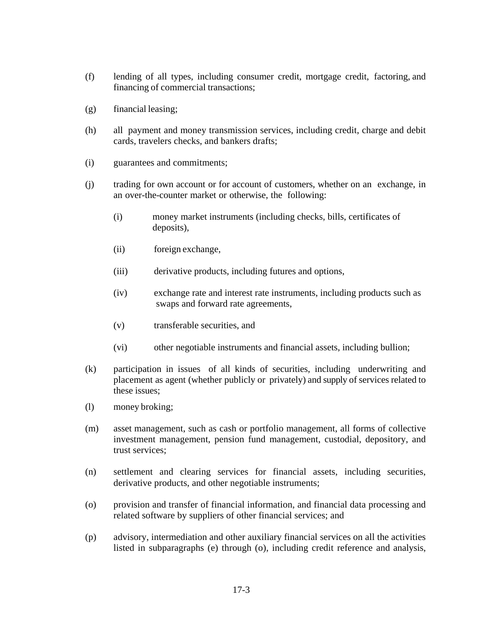- (f) lending of all types, including consumer credit, mortgage credit, factoring, and financing of commercial transactions;
- (g) financial leasing;
- (h) all payment and money transmission services, including credit, charge and debit cards, travelers checks, and bankers drafts;
- (i) guarantees and commitments;
- (j) trading for own account or for account of customers, whether on an exchange, in an over-the-counter market or otherwise, the following:
	- (i) money market instruments (including checks, bills, certificates of deposits),
	- (ii) foreign exchange,
	- (iii) derivative products, including futures and options,
	- (iv) exchange rate and interest rate instruments, including products such as swaps and forward rate agreements,
	- (v) transferable securities, and
	- (vi) other negotiable instruments and financial assets, including bullion;
- (k) participation in issues of all kinds of securities, including underwriting and placement as agent (whether publicly or privately) and supply of services related to these issues;
- (l) money broking;
- (m) asset management, such as cash or portfolio management, all forms of collective investment management, pension fund management, custodial, depository, and trust services;
- (n) settlement and clearing services for financial assets, including securities, derivative products, and other negotiable instruments;
- (o) provision and transfer of financial information, and financial data processing and related software by suppliers of other financial services; and
- (p) advisory, intermediation and other auxiliary financial services on all the activities listed in subparagraphs (e) through (o), including credit reference and analysis,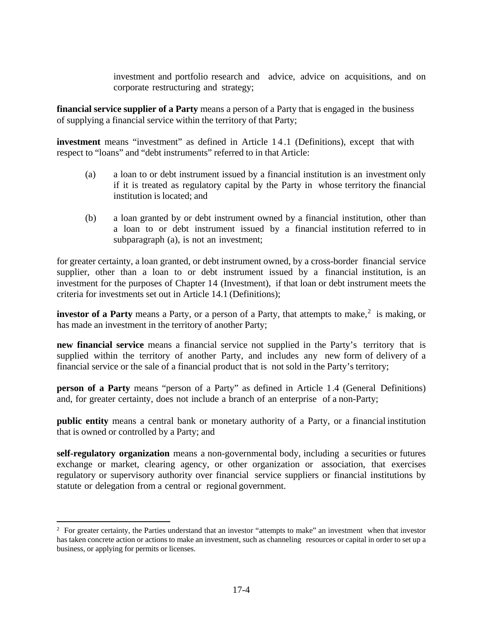investment and portfolio research and advice, advice on acquisitions, and on corporate restructuring and strategy;

**financial service supplier of a Party** means a person of a Party that is engaged in the business of supplying a financial service within the territory of that Party;

**investment** means "investment" as defined in Article 14.1 (Definitions), except that with respect to "loans" and "debt instruments" referred to in that Article:

- (a) a loan to or debt instrument issued by a financial institution is an investment only if it is treated as regulatory capital by the Party in whose territory the financial institution is located; and
- (b) a loan granted by or debt instrument owned by a financial institution, other than a loan to or debt instrument issued by a financial institution referred to in subparagraph (a), is not an investment;

for greater certainty, a loan granted, or debt instrument owned, by a cross-border financial service supplier, other than a loan to or debt instrument issued by a financial institution, is an investment for the purposes of Chapter 14 (Investment), if that loan or debt instrument meets the criteria for investments set out in Article 14.1 (Definitions);

**investor of a Party** means a Party, or a person of a Party, that attempts to make, $^2$  $^2$  is making, or has made an investment in the territory of another Party;

**new financial service** means a financial service not supplied in the Party's territory that is supplied within the territory of another Party, and includes any new form of delivery of a financial service or the sale of a financial product that is not sold in the Party's territory;

**person of a Party** means "person of a Party" as defined in Article 1.4 (General Definitions) and, for greater certainty, does not include a branch of an enterprise of a non-Party;

**public entity** means a central bank or monetary authority of a Party, or a financial institution that is owned or controlled by a Party; and

**self-regulatory organization** means a non-governmental body, including a securities or futures exchange or market, clearing agency, or other organization or association, that exercises regulatory or supervisory authority over financial service suppliers or financial institutions by statute or delegation from a central or regional government.

 $\overline{a}$ 

<span id="page-3-0"></span><sup>&</sup>lt;sup>2</sup> For greater certainty, the Parties understand that an investor "attempts to make" an investment when that investor has taken concrete action or actions to make an investment, such as channeling resources or capital in order to set up a business, or applying for permits or licenses.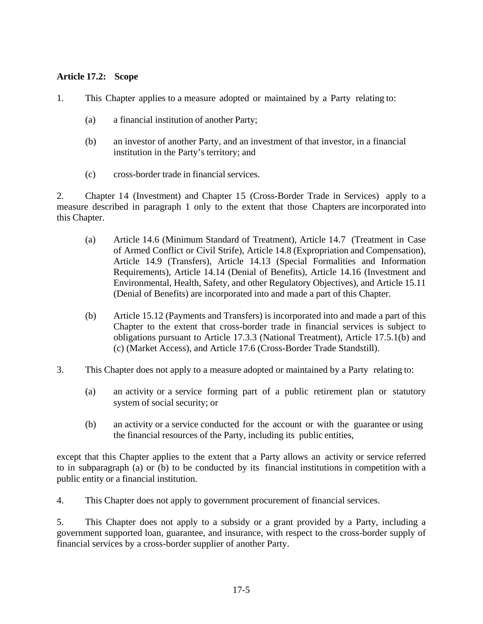# **Article 17.2: Scope**

1. This Chapter applies to a measure adopted or maintained by a Party relating to:

- (a) a financial institution of another Party;
- (b) an investor of another Party, and an investment of that investor, in a financial institution in the Party's territory; and
- (c) cross-border trade in financial services.

2. Chapter 14 (Investment) and Chapter 15 (Cross-Border Trade in Services) apply to a measure described in paragraph 1 only to the extent that those Chapters are incorporated into this Chapter.

- (a) Article 14.6 (Minimum Standard of Treatment), Article 14.7 (Treatment in Case of Armed Conflict or Civil Strife), Article 14.8 (Expropriation and Compensation), Article 14.9 (Transfers), Article 14.13 (Special Formalities and Information Requirements), Article 14.14 (Denial of Benefits), Article 14.16 (Investment and Environmental, Health, Safety, and other Regulatory Objectives), and Article 15.11 (Denial of Benefits) are incorporated into and made a part of this Chapter.
- (b) Article 15.12 (Payments and Transfers) is incorporated into and made a part of this Chapter to the extent that cross-border trade in financial services is subject to obligations pursuant to Article 17.3.3 (National Treatment), Article 17.5.1(b) and (c) (Market Access), and Article 17.6 (Cross-Border Trade Standstill).
- 3. This Chapter does not apply to a measure adopted or maintained by a Party relating to:
	- (a) an activity or a service forming part of a public retirement plan or statutory system of social security; or
	- (b) an activity or a service conducted for the account or with the guarantee or using the financial resources of the Party, including its public entities,

except that this Chapter applies to the extent that a Party allows an activity or service referred to in subparagraph (a) or (b) to be conducted by its financial institutions in competition with a public entity or a financial institution.

4. This Chapter does not apply to government procurement of financial services.

5. This Chapter does not apply to a subsidy or a grant provided by a Party, including a government supported loan, guarantee, and insurance, with respect to the cross-border supply of financial services by a cross-border supplier of another Party.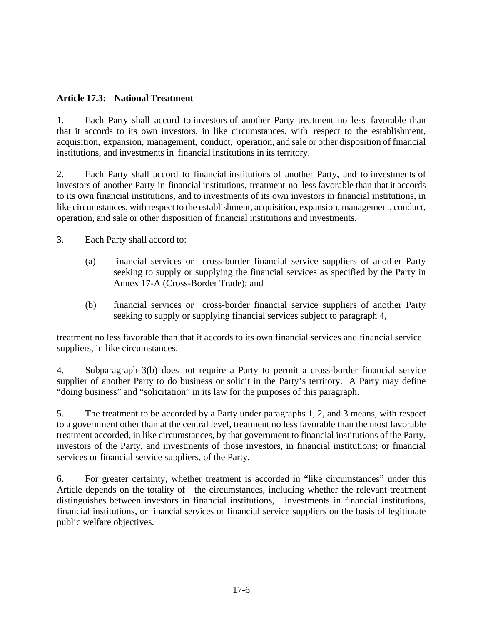# **Article 17.3: National Treatment**

1. Each Party shall accord to investors of another Party treatment no less favorable than that it accords to its own investors, in like circumstances, with respect to the establishment, acquisition, expansion, management, conduct, operation, and sale or other disposition of financial institutions, and investments in financial institutions in its territory.

2. Each Party shall accord to financial institutions of another Party, and to investments of investors of another Party in financial institutions, treatment no less favorable than that it accords to its own financial institutions, and to investments of its own investors in financial institutions, in like circumstances, with respect to the establishment, acquisition, expansion, management, conduct, operation, and sale or other disposition of financial institutions and investments.

3. Each Party shall accord to:

- (a) financial services or cross-border financial service suppliers of another Party seeking to supply or supplying the financial services as specified by the Party in Annex 17-A (Cross-Border Trade); and
- (b) financial services or cross-border financial service suppliers of another Party seeking to supply or supplying financial services subject to paragraph 4,

treatment no less favorable than that it accords to its own financial services and financial service suppliers, in like circumstances.

4. Subparagraph 3(b) does not require a Party to permit a cross-border financial service supplier of another Party to do business or solicit in the Party's territory. A Party may define "doing business" and "solicitation" in its law for the purposes of this paragraph.

5. The treatment to be accorded by a Party under paragraphs 1, 2, and 3 means, with respect to a government other than at the central level, treatment no less favorable than the most favorable treatment accorded, in like circumstances, by that government to financial institutions of the Party, investors of the Party, and investments of those investors, in financial institutions; or financial services or financial service suppliers, of the Party.

6. For greater certainty, whether treatment is accorded in "like circumstances" under this Article depends on the totality of the circumstances, including whether the relevant treatment distinguishes between investors in financial institutions, investments in financial institutions, financial institutions, or financial services or financial service suppliers on the basis of legitimate public welfare objectives.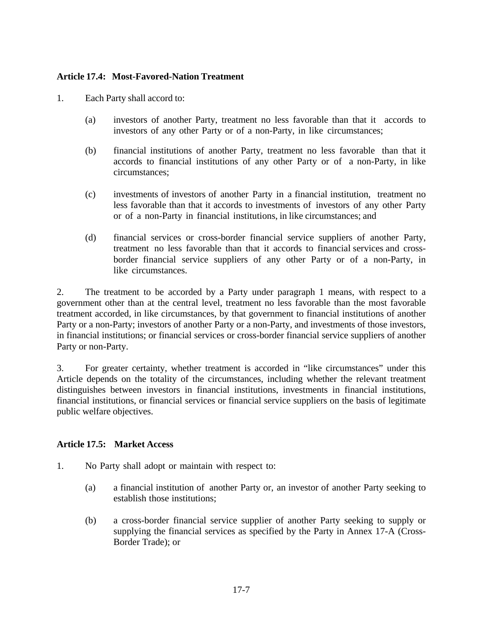# **Article 17.4: Most-Favored-Nation Treatment**

1. Each Party shall accord to:

- (a) investors of another Party, treatment no less favorable than that it accords to investors of any other Party or of a non-Party, in like circumstances;
- (b) financial institutions of another Party, treatment no less favorable than that it accords to financial institutions of any other Party or of a non-Party, in like circumstances;
- (c) investments of investors of another Party in a financial institution, treatment no less favorable than that it accords to investments of investors of any other Party or of a non-Party in financial institutions, in like circumstances; and
- (d) financial services or cross-border financial service suppliers of another Party, treatment no less favorable than that it accords to financial services and crossborder financial service suppliers of any other Party or of a non-Party, in like circumstances.

2. The treatment to be accorded by a Party under paragraph 1 means, with respect to a government other than at the central level, treatment no less favorable than the most favorable treatment accorded, in like circumstances, by that government to financial institutions of another Party or a non-Party; investors of another Party or a non-Party, and investments of those investors, in financial institutions; or financial services or cross-border financial service suppliers of another Party or non-Party.

3. For greater certainty, whether treatment is accorded in "like circumstances" under this Article depends on the totality of the circumstances, including whether the relevant treatment distinguishes between investors in financial institutions, investments in financial institutions, financial institutions, or financial services or financial service suppliers on the basis of legitimate public welfare objectives.

# **Article 17.5: Market Access**

- 1. No Party shall adopt or maintain with respect to:
	- (a) a financial institution of another Party or, an investor of another Party seeking to establish those institutions;
	- (b) a cross-border financial service supplier of another Party seeking to supply or supplying the financial services as specified by the Party in Annex 17-A (Cross-Border Trade); or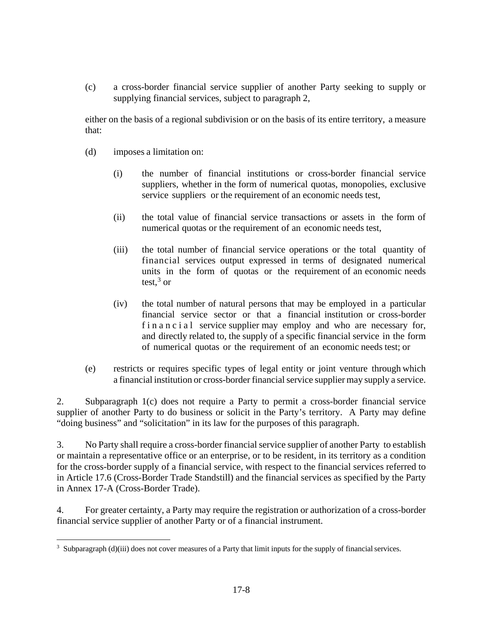(c) a cross-border financial service supplier of another Party seeking to supply or supplying financial services, subject to paragraph 2,

either on the basis of a regional subdivision or on the basis of its entire territory, a measure that:

- (d) imposes a limitation on:
	- (i) the number of financial institutions or cross-border financial service suppliers, whether in the form of numerical quotas, monopolies, exclusive service suppliers or the requirement of an economic needs test,
	- (ii) the total value of financial service transactions or assets in the form of numerical quotas or the requirement of an economic needs test,
	- (iii) the total number of financial service operations or the total quantity of financial services output expressed in terms of designated numerical units in the form of quotas or the requirement of an economic needs test, [3](#page-7-0) or
	- (iv) the total number of natural persons that may be employed in a particular financial service sector or that a financial institution or cross-border financial service supplier may employ and who are necessary for, and directly related to, the supply of a specific financial service in the form of numerical quotas or the requirement of an economic needs test; or
- (e) restricts or requires specific types of legal entity or joint venture through which a financial institution or cross-border financial service supplier may supply a service.

2. Subparagraph 1(c) does not require a Party to permit a cross-border financial service supplier of another Party to do business or solicit in the Party's territory. A Party may define "doing business" and "solicitation" in its law for the purposes of this paragraph.

3. No Party shall require a cross-border financial service supplier of another Party to establish or maintain a representative office or an enterprise, or to be resident, in its territory as a condition for the cross-border supply of a financial service, with respect to the financial services referred to in Article 17.6 (Cross-Border Trade Standstill) and the financial services as specified by the Party in Annex 17-A (Cross-Border Trade).

4. For greater certainty, a Party may require the registration or authorization of a cross-border financial service supplier of another Party or of a financial instrument.

<span id="page-7-0"></span>l  $3$  Subparagraph (d)(iii) does not cover measures of a Party that limit inputs for the supply of financial services.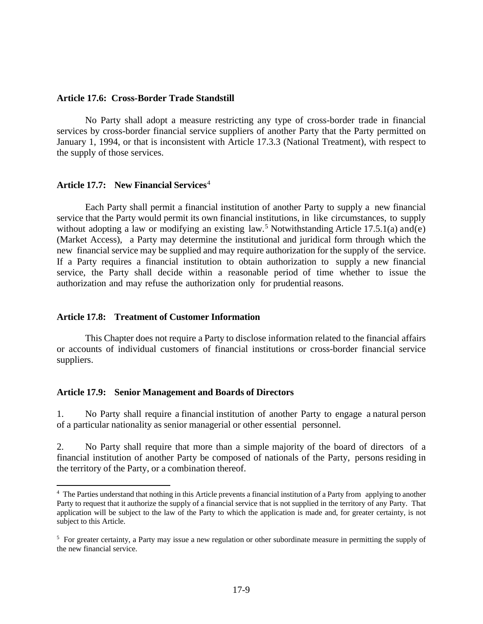#### **Article 17.6: Cross-Border Trade Standstill**

No Party shall adopt a measure restricting any type of cross-border trade in financial services by cross-border financial service suppliers of another Party that the Party permitted on January 1, 1994, or that is inconsistent with Article 17.3.3 (National Treatment), with respect to the supply of those services.

#### **Article 17.7: New Financial Services**[4](#page-8-0)

Each Party shall permit a financial institution of another Party to supply a new financial service that the Party would permit its own financial institutions, in like circumstances, to supply without adopting a law or modifying an existing law.<sup>[5](#page-8-1)</sup> Notwithstanding Article 17.5.1(a) and(e) (Market Access), a Party may determine the institutional and juridical form through which the new financial service may be supplied and may require authorization for the supply of the service. If a Party requires a financial institution to obtain authorization to supply a new financial service, the Party shall decide within a reasonable period of time whether to issue the authorization and may refuse the authorization only for prudential reasons.

#### **Article 17.8: Treatment of Customer Information**

l

This Chapter does not require a Party to disclose information related to the financial affairs or accounts of individual customers of financial institutions or cross-border financial service suppliers.

#### **Article 17.9: Senior Management and Boards of Directors**

1. No Party shall require a financial institution of another Party to engage a natural person of a particular nationality as senior managerial or other essential personnel.

2. No Party shall require that more than a simple majority of the board of directors of a financial institution of another Party be composed of nationals of the Party, persons residing in the territory of the Party, or a combination thereof.

<span id="page-8-0"></span><sup>&</sup>lt;sup>4</sup> The Parties understand that nothing in this Article prevents a financial institution of a Party from applying to another Party to request that it authorize the supply of a financial service that is not supplied in the territory of any Party. That application will be subject to the law of the Party to which the application is made and, for greater certainty, is not subject to this Article.

<span id="page-8-1"></span><sup>&</sup>lt;sup>5</sup> For greater certainty, a Party may issue a new regulation or other subordinate measure in permitting the supply of the new financial service.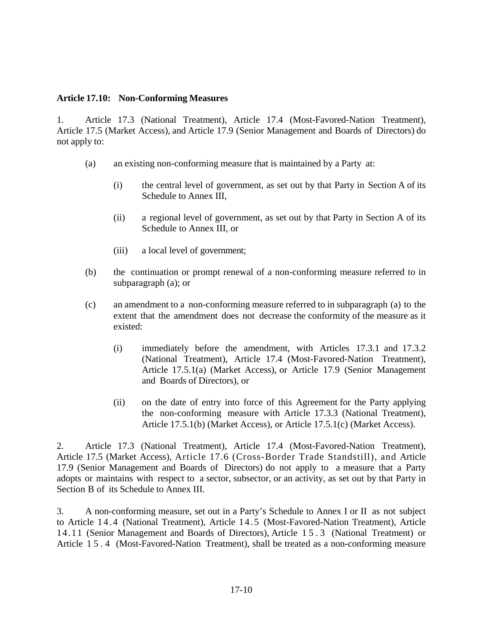### **Article 17.10: Non-Conforming Measures**

1. Article 17.3 (National Treatment), Article 17.4 (Most-Favored-Nation Treatment), Article 17.5 (Market Access), and Article 17.9 (Senior Management and Boards of Directors) do not apply to:

- (a) an existing non-conforming measure that is maintained by a Party at:
	- (i) the central level of government, as set out by that Party in Section A of its Schedule to Annex III,
	- (ii) a regional level of government, as set out by that Party in Section A of its Schedule to Annex III, or
	- (iii) a local level of government;
- (b) the continuation or prompt renewal of a non-conforming measure referred to in subparagraph (a); or
- (c) an amendment to a non-conforming measure referred to in subparagraph (a) to the extent that the amendment does not decrease the conformity of the measure as it existed:
	- (i) immediately before the amendment, with Articles 17.3.1 and 17.3.2 (National Treatment), Article 17.4 (Most-Favored-Nation Treatment), Article 17.5.1(a) (Market Access), or Article 17.9 (Senior Management and Boards of Directors), or
	- (ii) on the date of entry into force of this Agreement for the Party applying the non-conforming measure with Article 17.3.3 (National Treatment), Article 17.5.1(b) (Market Access), or Article 17.5.1(c) (Market Access).

2. Article 17.3 (National Treatment), Article 17.4 (Most-Favored-Nation Treatment), Article 17.5 (Market Access), Article 17.6 (Cross-Border Trade Standstill), and Article 17.9 (Senior Management and Boards of Directors) do not apply to a measure that a Party adopts or maintains with respect to a sector, subsector, or an activity, as set out by that Party in Section B of its Schedule to Annex III.

3. A non-conforming measure, set out in a Party's Schedule to Annex I or II as not subject to Article 14.4 (National Treatment), Article 14.5 (Most-Favored-Nation Treatment), Article 14.11 (Senior Management and Boards of Directors), Article 15.3 (National Treatment) or Article 15.4 (Most-Favored-Nation Treatment), shall be treated as a non-conforming measure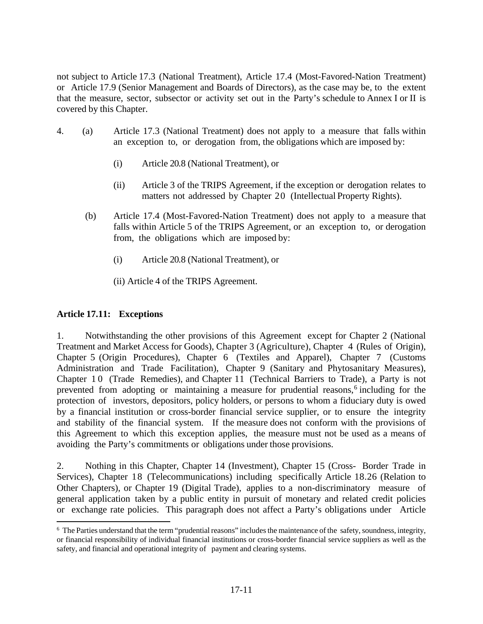not subject to Article 17.3 (National Treatment), Article 17.4 (Most-Favored-Nation Treatment) or Article 17.9 (Senior Management and Boards of Directors), as the case may be, to the extent that the measure, sector, subsector or activity set out in the Party's schedule to Annex I or II is covered by this Chapter.

- 4. (a) Article 17.3 (National Treatment) does not apply to a measure that falls within an exception to, or derogation from, the obligations which are imposed by:
	- (i) Article 20.8 (National Treatment), or
	- (ii) Article 3 of the TRIPS Agreement, if the exception or derogation relates to matters not addressed by Chapter 20 (Intellectual Property Rights).
	- (b) Article 17.4 (Most-Favored-Nation Treatment) does not apply to a measure that falls within Article 5 of the TRIPS Agreement, or an exception to, or derogation from, the obligations which are imposed by:
		- (i) Article 20.8 (National Treatment), or
		- (ii) Article 4 of the TRIPS Agreement.

# **Article 17.11: Exceptions**

 $\overline{a}$ 

1. Notwithstanding the other provisions of this Agreement except for Chapter 2 (National Treatment and Market Access for Goods), Chapter 3 (Agriculture), Chapter 4 (Rules of Origin), Chapter 5 (Origin Procedures), Chapter 6 (Textiles and Apparel), Chapter 7 (Customs Administration and Trade Facilitation), Chapter 9 (Sanitary and Phytosanitary Measures), Chapter 1 0 (Trade Remedies), and Chapter 11 (Technical Barriers to Trade), a Party is not prevented from adopting or maintaining a measure for prudential reasons, $6$  including for the protection of investors, depositors, policy holders, or persons to whom a fiduciary duty is owed by a financial institution or cross-border financial service supplier, or to ensure the integrity and stability of the financial system. If the measure does not conform with the provisions of this Agreement to which this exception applies, the measure must not be used as a means of avoiding the Party's commitments or obligations under those provisions.

2. Nothing in this Chapter, Chapter 14 (Investment), Chapter 15 (Cross- Border Trade in Services), Chapter 18 (Telecommunications) including specifically Article 18.26 (Relation to Other Chapters), or Chapter 19 (Digital Trade), applies to a non-discriminatory measure of general application taken by a public entity in pursuit of monetary and related credit policies or exchange rate policies. This paragraph does not affect a Party's obligations under Article

<span id="page-10-0"></span> $6$  The Parties understand that the term "prudential reasons" includes the maintenance of the safety, soundness, integrity, or financial responsibility of individual financial institutions or cross-border financial service suppliers as well as the safety, and financial and operational integrity of payment and clearing systems.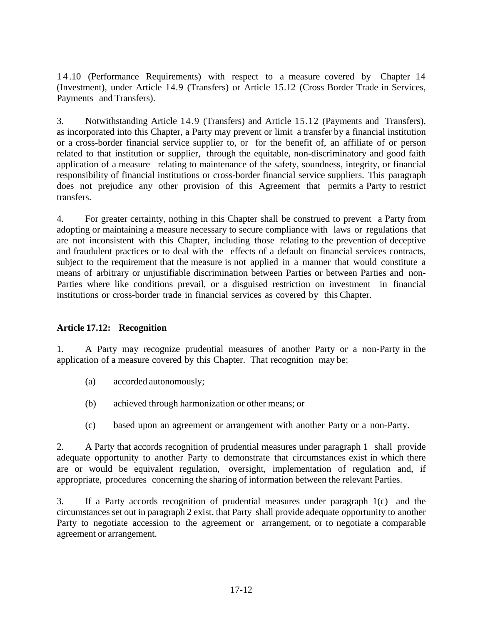1 4 .10 (Performance Requirements) with respect to a measure covered by Chapter 14 (Investment), under Article 14.9 (Transfers) or Article 15.12 (Cross Border Trade in Services, Payments and Transfers).

3. Notwithstanding Article 14.9 (Transfers) and Article 15.12 (Payments and Transfers), as incorporated into this Chapter, a Party may prevent or limit a transfer by a financial institution or a cross-border financial service supplier to, or for the benefit of, an affiliate of or person related to that institution or supplier, through the equitable, non-discriminatory and good faith application of a measure relating to maintenance of the safety, soundness, integrity, or financial responsibility of financial institutions or cross-border financial service suppliers. This paragraph does not prejudice any other provision of this Agreement that permits a Party to restrict transfers.

4. For greater certainty, nothing in this Chapter shall be construed to prevent a Party from adopting or maintaining a measure necessary to secure compliance with laws or regulations that are not inconsistent with this Chapter, including those relating to the prevention of deceptive and fraudulent practices or to deal with the effects of a default on financial services contracts, subject to the requirement that the measure is not applied in a manner that would constitute a means of arbitrary or unjustifiable discrimination between Parties or between Parties and non-Parties where like conditions prevail, or a disguised restriction on investment in financial institutions or cross-border trade in financial services as covered by this Chapter.

# **Article 17.12: Recognition**

1. A Party may recognize prudential measures of another Party or a non-Party in the application of a measure covered by this Chapter. That recognition may be:

- (a) accorded autonomously;
- (b) achieved through harmonization or other means; or
- (c) based upon an agreement or arrangement with another Party or a non-Party.

2. A Party that accords recognition of prudential measures under paragraph 1 shall provide adequate opportunity to another Party to demonstrate that circumstances exist in which there are or would be equivalent regulation, oversight, implementation of regulation and, if appropriate, procedures concerning the sharing of information between the relevant Parties.

3. If a Party accords recognition of prudential measures under paragraph 1(c) and the circumstances set out in paragraph 2 exist, that Party shall provide adequate opportunity to another Party to negotiate accession to the agreement or arrangement, or to negotiate a comparable agreement or arrangement.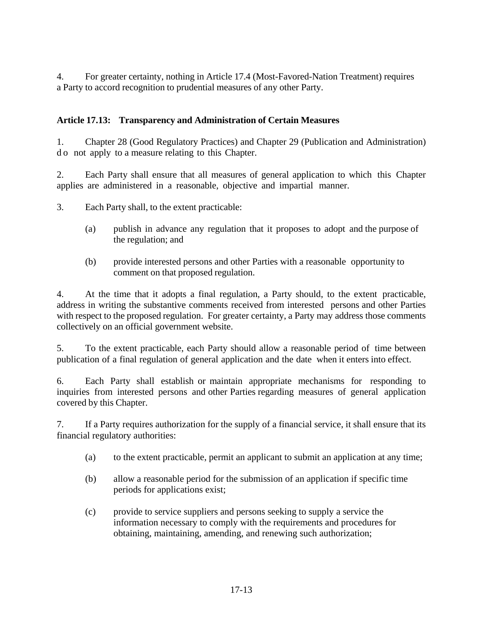4. For greater certainty, nothing in Article 17.4 (Most-Favored-Nation Treatment) requires a Party to accord recognition to prudential measures of any other Party.

# **Article 17.13: Transparency and Administration of Certain Measures**

1. Chapter 28 (Good Regulatory Practices) and Chapter 29 (Publication and Administration) do not apply to a measure relating to this Chapter.

2. Each Party shall ensure that all measures of general application to which this Chapter applies are administered in a reasonable, objective and impartial manner.

3. Each Party shall, to the extent practicable:

- (a) publish in advance any regulation that it proposes to adopt and the purpose of the regulation; and
- (b) provide interested persons and other Parties with a reasonable opportunity to comment on that proposed regulation.

4. At the time that it adopts a final regulation, a Party should, to the extent practicable, address in writing the substantive comments received from interested persons and other Parties with respect to the proposed regulation. For greater certainty, a Party may address those comments collectively on an official government website.

5. To the extent practicable, each Party should allow a reasonable period of time between publication of a final regulation of general application and the date when it enters into effect.

6. Each Party shall establish or maintain appropriate mechanisms for responding to inquiries from interested persons and other Parties regarding measures of general application covered by this Chapter.

7. If a Party requires authorization for the supply of a financial service, it shall ensure that its financial regulatory authorities:

- (a) to the extent practicable, permit an applicant to submit an application at any time;
- (b) allow a reasonable period for the submission of an application if specific time periods for applications exist;
- (c) provide to service suppliers and persons seeking to supply a service the information necessary to comply with the requirements and procedures for obtaining, maintaining, amending, and renewing such authorization;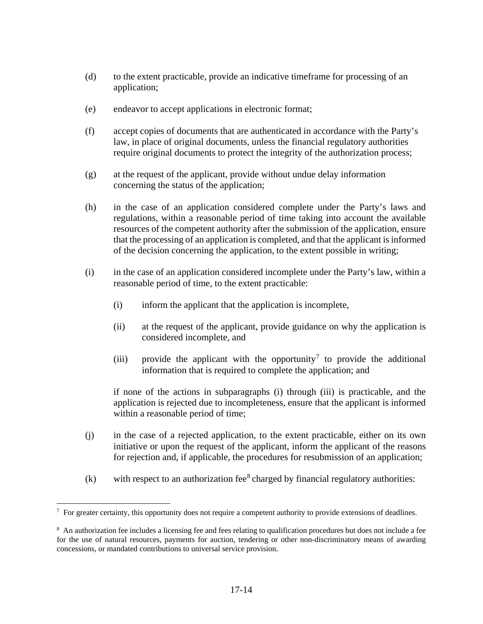- (d) to the extent practicable, provide an indicative timeframe for processing of an application;
- (e) endeavor to accept applications in electronic format;
- (f) accept copies of documents that are authenticated in accordance with the Party's law, in place of original documents, unless the financial regulatory authorities require original documents to protect the integrity of the authorization process;
- (g) at the request of the applicant, provide without undue delay information concerning the status of the application;
- (h) in the case of an application considered complete under the Party's laws and regulations, within a reasonable period of time taking into account the available resources of the competent authority after the submission of the application, ensure that the processing of an application is completed, and that the applicant is informed of the decision concerning the application, to the extent possible in writing;
- (i) in the case of an application considered incomplete under the Party's law, within a reasonable period of time, to the extent practicable:
	- (i) inform the applicant that the application is incomplete,
	- (ii) at the request of the applicant, provide guidance on why the application is considered incomplete, and
	- (iii) provide the applicant with the opportunity<sup>[7](#page-13-0)</sup> to provide the additional information that is required to complete the application; and

if none of the actions in subparagraphs (i) through (iii) is practicable, and the application is rejected due to incompleteness, ensure that the applicant is informed within a reasonable period of time;

- (j) in the case of a rejected application, to the extent practicable, either on its own initiative or upon the request of the applicant, inform the applicant of the reasons for rejection and, if applicable, the procedures for resubmission of an application;
- $(k)$  with respect to an authorization fee<sup>[8](#page-13-1)</sup> charged by financial regulatory authorities:

<span id="page-13-0"></span><sup>&</sup>lt;sup>7</sup> For greater certainty, this opportunity does not require a competent authority to provide extensions of deadlines.

<span id="page-13-1"></span><sup>&</sup>lt;sup>8</sup> An authorization fee includes a licensing fee and fees relating to qualification procedures but does not include a fee for the use of natural resources, payments for auction, tendering or other non-discriminatory means of awarding concessions, or mandated contributions to universal service provision.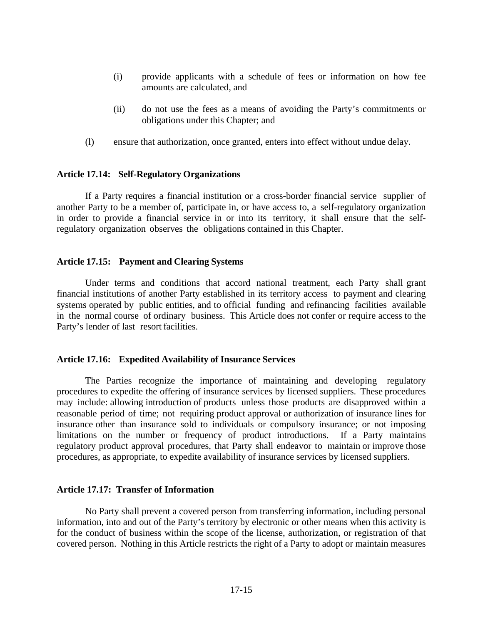- (i) provide applicants with a schedule of fees or information on how fee amounts are calculated, and
- (ii) do not use the fees as a means of avoiding the Party's commitments or obligations under this Chapter; and
- (l) ensure that authorization, once granted, enters into effect without undue delay.

#### **Article 17.14: Self-Regulatory Organizations**

If a Party requires a financial institution or a cross-border financial service supplier of another Party to be a member of, participate in, or have access to, a self-regulatory organization in order to provide a financial service in or into its territory, it shall ensure that the selfregulatory organization observes the obligations contained in this Chapter.

### **Article 17.15: Payment and Clearing Systems**

Under terms and conditions that accord national treatment, each Party shall grant financial institutions of another Party established in its territory access to payment and clearing systems operated by public entities, and to official funding and refinancing facilities available in the normal course of ordinary business. This Article does not confer or require access to the Party's lender of last resort facilities.

## **Article 17.16: Expedited Availability of Insurance Services**

The Parties recognize the importance of maintaining and developing regulatory procedures to expedite the offering of insurance services by licensed suppliers. These procedures may include: allowing introduction of products unless those products are disapproved within a reasonable period of time; not requiring product approval or authorization of insurance lines for insurance other than insurance sold to individuals or compulsory insurance; or not imposing limitations on the number or frequency of product introductions. If a Party maintains regulatory product approval procedures, that Party shall endeavor to maintain or improve those procedures, as appropriate, to expedite availability of insurance services by licensed suppliers.

## **Article 17.17: Transfer of Information**

No Party shall prevent a covered person from transferring information, including personal information, into and out of the Party's territory by electronic or other means when this activity is for the conduct of business within the scope of the license, authorization, or registration of that covered person. Nothing in this Article restricts the right of a Party to adopt or maintain measures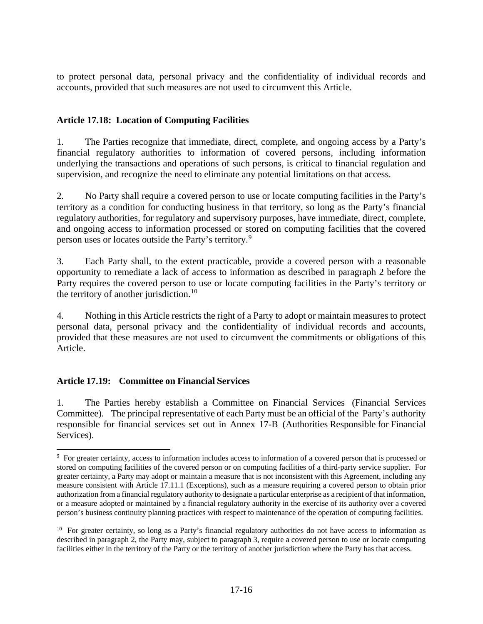to protect personal data, personal privacy and the confidentiality of individual records and accounts, provided that such measures are not used to circumvent this Article.

# **Article 17.18: Location of Computing Facilities**

1. The Parties recognize that immediate, direct, complete, and ongoing access by a Party's financial regulatory authorities to information of covered persons, including information underlying the transactions and operations of such persons, is critical to financial regulation and supervision, and recognize the need to eliminate any potential limitations on that access.

2. No Party shall require a covered person to use or locate computing facilities in the Party's territory as a condition for conducting business in that territory, so long as the Party's financial regulatory authorities, for regulatory and supervisory purposes, have immediate, direct, complete, and ongoing access to information processed or stored on computing facilities that the covered person uses or locates outside the Party's territory.[9](#page-15-0)

3. Each Party shall, to the extent practicable, provide a covered person with a reasonable opportunity to remediate a lack of access to information as described in paragraph 2 before the Party requires the covered person to use or locate computing facilities in the Party's territory or the territory of another jurisdiction.<sup>[10](#page-15-1)</sup>

4. Nothing in this Article restricts the right of a Party to adopt or maintain measures to protect personal data, personal privacy and the confidentiality of individual records and accounts, provided that these measures are not used to circumvent the commitments or obligations of this Article.

# **Article 17.19: Committee on Financial Services**

 $\overline{\phantom{a}}$ 

1. The Parties hereby establish a Committee on Financial Services (Financial Services Committee). The principal representative of each Party must be an official of the Party's authority responsible for financial services set out in Annex 17-B (Authorities Responsible for Financial Services).

<span id="page-15-0"></span><sup>&</sup>lt;sup>9</sup> For greater certainty, access to information includes access to information of a covered person that is processed or stored on computing facilities of the covered person or on computing facilities of a third-party service supplier.For greater certainty, a Party may adopt or maintain a measure that is not inconsistent with this Agreement, including any measure consistent with Article 17.11.1 (Exceptions), such as a measure requiring a covered person to obtain prior authorization from a financial regulatory authority to designate a particular enterprise as a recipient of that information, or a measure adopted or maintained by a financial regulatory authority in the exercise of its authority over a covered person's business continuity planning practices with respect to maintenance of the operation of computing facilities.

<span id="page-15-1"></span> $10$  For greater certainty, so long as a Party's financial regulatory authorities do not have access to information as described in paragraph 2, the Party may, subject to paragraph 3, require a covered person to use or locate computing facilities either in the territory of the Party or the territory of another jurisdiction where the Party has that access.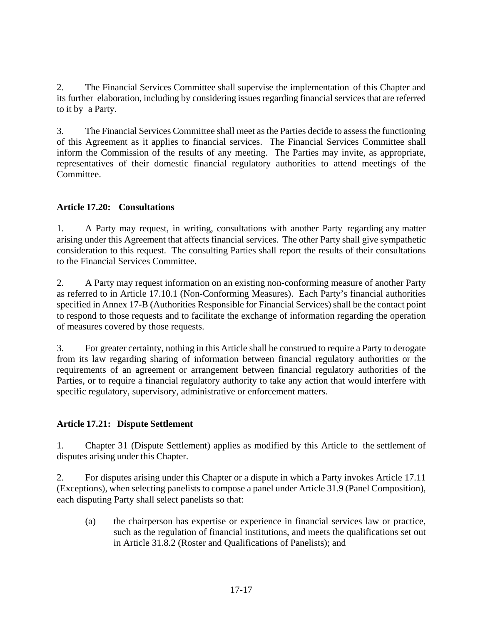2. The Financial Services Committee shall supervise the implementation of this Chapter and its further elaboration, including by considering issues regarding financial services that are referred to it by a Party.

3. The Financial Services Committee shall meet as the Parties decide to assess the functioning of this Agreement as it applies to financial services. The Financial Services Committee shall inform the Commission of the results of any meeting. The Parties may invite, as appropriate, representatives of their domestic financial regulatory authorities to attend meetings of the Committee.

# **Article 17.20: Consultations**

1. A Party may request, in writing, consultations with another Party regarding any matter arising under this Agreement that affects financial services. The other Party shall give sympathetic consideration to this request. The consulting Parties shall report the results of their consultations to the Financial Services Committee.

2. A Party may request information on an existing non-conforming measure of another Party as referred to in Article 17.10.1 (Non-Conforming Measures). Each Party's financial authorities specified in Annex 17-B (Authorities Responsible for Financial Services) shall be the contact point to respond to those requests and to facilitate the exchange of information regarding the operation of measures covered by those requests.

3. For greater certainty, nothing in this Article shall be construed to require a Party to derogate from its law regarding sharing of information between financial regulatory authorities or the requirements of an agreement or arrangement between financial regulatory authorities of the Parties, or to require a financial regulatory authority to take any action that would interfere with specific regulatory, supervisory, administrative or enforcement matters.

# **Article 17.21: Dispute Settlement**

1. Chapter 31 (Dispute Settlement) applies as modified by this Article to the settlement of disputes arising under this Chapter.

2. For disputes arising under this Chapter or a dispute in which a Party invokes Article 17.11 (Exceptions), when selecting panelists to compose a panel under Article 31.9 (Panel Composition), each disputing Party shall select panelists so that:

(a) the chairperson has expertise or experience in financial services law or practice, such as the regulation of financial institutions, and meets the qualifications set out in Article 31.8.2 (Roster and Qualifications of Panelists); and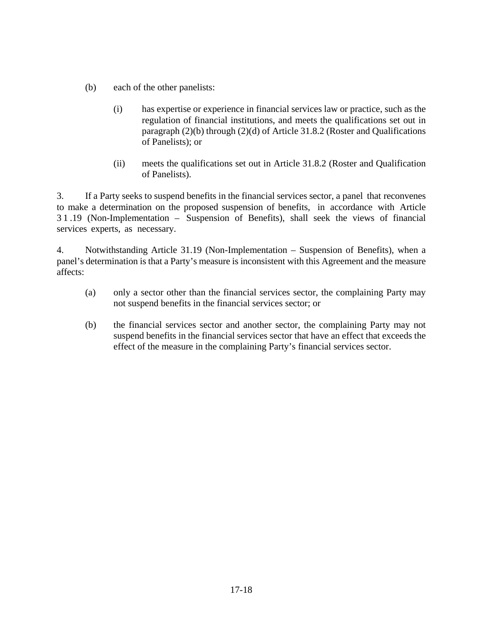- (b) each of the other panelists:
	- (i) has expertise or experience in financial services law or practice, such as the regulation of financial institutions, and meets the qualifications set out in paragraph (2)(b) through (2)(d) of Article 31.8.2 (Roster and Qualifications of Panelists); or
	- (ii) meets the qualifications set out in Article 31.8.2 (Roster and Qualification of Panelists).

3. If a Party seeks to suspend benefits in the financial services sector, a panel that reconvenes to make a determination on the proposed suspension of benefits, in accordance with Article 3 1 .19 (Non-Implementation – Suspension of Benefits), shall seek the views of financial services experts, as necessary.

4. Notwithstanding Article 31.19 (Non-Implementation – Suspension of Benefits), when a panel's determination is that a Party's measure is inconsistent with this Agreement and the measure affects:

- (a) only a sector other than the financial services sector, the complaining Party may not suspend benefits in the financial services sector; or
- (b) the financial services sector and another sector, the complaining Party may not suspend benefits in the financial services sector that have an effect that exceeds the effect of the measure in the complaining Party's financial services sector.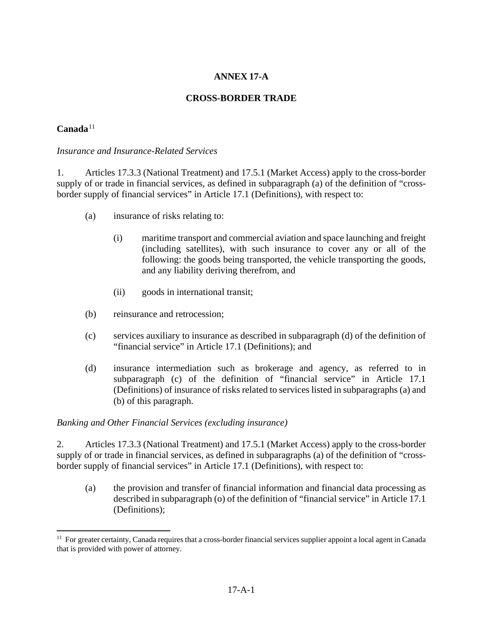# **ANNEX 17-A**

# **CROSS-BORDER TRADE**

# **Canada**[11](#page-18-0)

 $\overline{\phantom{a}}$ 

# *Insurance and Insurance-Related Services*

1. Articles 17.3.3 (National Treatment) and 17.5.1 (Market Access) apply to the cross-border supply of or trade in financial services, as defined in subparagraph (a) of the definition of "crossborder supply of financial services" in Article 17.1 (Definitions), with respect to:

- (a) insurance of risks relating to:
	- (i) maritime transport and commercial aviation and space launching and freight (including satellites), with such insurance to cover any or all of the following: the goods being transported, the vehicle transporting the goods, and any liability deriving therefrom, and
	- (ii) goods in international transit;
- (b) reinsurance and retrocession;
- (c) services auxiliary to insurance as described in subparagraph (d) of the definition of "financial service" in Article 17.1 (Definitions); and
- (d) insurance intermediation such as brokerage and agency, as referred to in subparagraph (c) of the definition of "financial service" in Article 17.1 (Definitions) of insurance of risks related to services listed in subparagraphs (a) and (b) of this paragraph.

# *Banking and Other Financial Services (excluding insurance)*

2. Articles 17.3.3 (National Treatment) and 17.5.1 (Market Access) apply to the cross-border supply of or trade in financial services, as defined in subparagraphs (a) of the definition of "crossborder supply of financial services" in Article 17.1 (Definitions), with respect to:

(a) the provision and transfer of financial information and financial data processing as described in subparagraph (o) of the definition of "financial service" in Article 17.1 (Definitions);

<span id="page-18-0"></span><sup>&</sup>lt;sup>11</sup> For greater certainty, Canada requires that a cross-border financial services supplier appoint a local agent in Canada that is provided with power of attorney.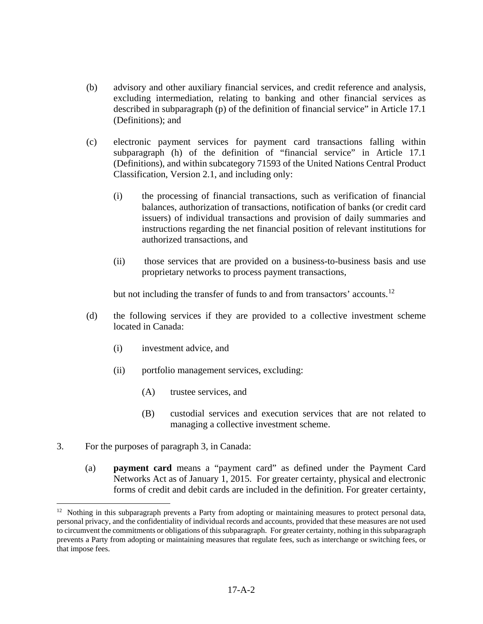- (b) advisory and other auxiliary financial services, and credit reference and analysis, excluding intermediation, relating to banking and other financial services as described in subparagraph (p) of the definition of financial service" in Article 17.1 (Definitions); and
- (c) electronic payment services for payment card transactions falling within subparagraph (h) of the definition of "financial service" in Article 17.1 (Definitions), and within subcategory 71593 of the United Nations Central Product Classification, Version 2.1, and including only:
	- (i) the processing of financial transactions, such as verification of financial balances, authorization of transactions, notification of banks (or credit card issuers) of individual transactions and provision of daily summaries and instructions regarding the net financial position of relevant institutions for authorized transactions, and
	- (ii) those services that are provided on a business-to-business basis and use proprietary networks to process payment transactions,

but not including the transfer of funds to and from transactors' accounts.<sup>[12](#page-19-0)</sup>

- (d) the following services if they are provided to a collective investment scheme located in Canada:
	- (i) investment advice, and
	- (ii) portfolio management services, excluding:
		- (A) trustee services, and
		- (B) custodial services and execution services that are not related to managing a collective investment scheme.
- 3. For the purposes of paragraph 3, in Canada:

 $\overline{\phantom{a}}$ 

(a) **payment card** means a "payment card" as defined under the Payment Card Networks Act as of January 1, 2015. For greater certainty, physical and electronic forms of credit and debit cards are included in the definition. For greater certainty,

<span id="page-19-0"></span><sup>&</sup>lt;sup>12</sup> Nothing in this subparagraph prevents a Party from adopting or maintaining measures to protect personal data, personal privacy, and the confidentiality of individual records and accounts, provided that these measures are not used to circumvent the commitments or obligations of this subparagraph. For greater certainty, nothing in this subparagraph prevents a Party from adopting or maintaining measures that regulate fees, such as interchange or switching fees, or that impose fees.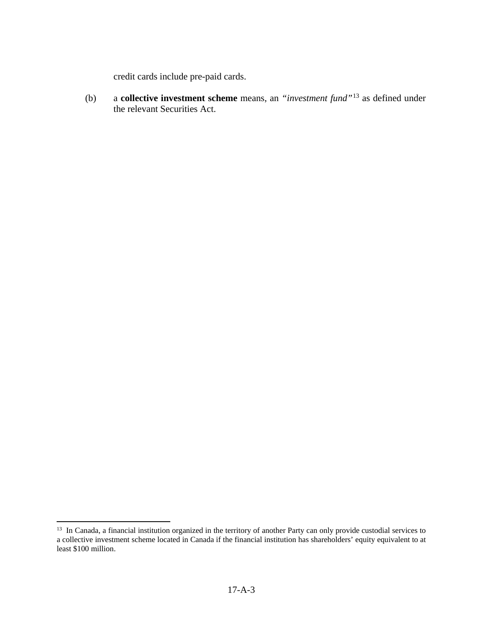credit cards include pre-paid cards.

(b) a **collective investment scheme** means, an *"investment fund"*[13](#page-20-0) as defined under the relevant Securities Act.

 $\overline{a}$ 

<span id="page-20-0"></span> $13$  In Canada, a financial institution organized in the territory of another Party can only provide custodial services to a collective investment scheme located in Canada if the financial institution has shareholders' equity equivalent to at least \$100 million.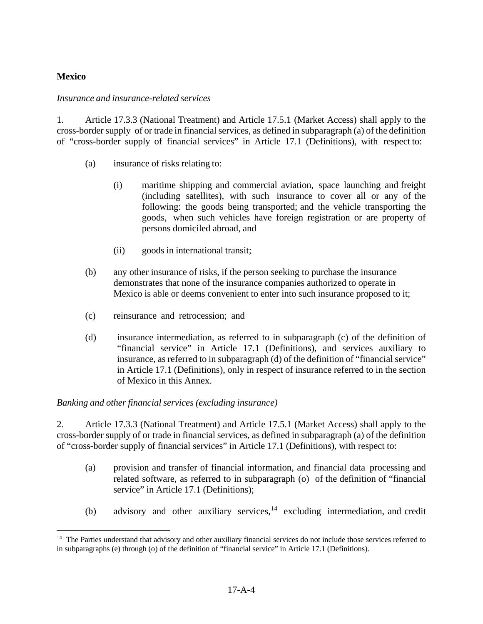# **Mexico**

 $\overline{\phantom{a}}$ 

# *Insurance and insurance-related services*

1. Article 17.3.3 (National Treatment) and Article 17.5.1 (Market Access) shall apply to the cross-border supply of or trade in financial services, as defined in subparagraph (a) of the definition of "cross-border supply of financial services" in Article 17.1 (Definitions), with respect to:

- (a) insurance of risks relating to:
	- (i) maritime shipping and commercial aviation, space launching and freight (including satellites), with such insurance to cover all or any of the following: the goods being transported; and the vehicle transporting the goods, when such vehicles have foreign registration or are property of persons domiciled abroad, and
	- (ii) goods in international transit;
- (b) any other insurance of risks, if the person seeking to purchase the insurance demonstrates that none of the insurance companies authorized to operate in Mexico is able or deems convenient to enter into such insurance proposed to it;
- (c) reinsurance and retrocession; and
- (d) insurance intermediation, as referred to in subparagraph (c) of the definition of "financial service" in Article 17.1 (Definitions), and services auxiliary to insurance, as referred to in subparagraph (d) of the definition of "financial service" in Article 17.1 (Definitions), only in respect of insurance referred to in the section of Mexico in this Annex.

# *Banking and other financial services (excluding insurance)*

2. Article 17.3.3 (National Treatment) and Article 17.5.1 (Market Access) shall apply to the cross-border supply of or trade in financial services, as defined in subparagraph (a) of the definition of "cross-border supply of financial services" in Article 17.1 (Definitions), with respect to:

- (a) provision and transfer of financial information, and financial data processing and related software, as referred to in subparagraph (o) of the definition of "financial service" in Article 17.1 (Definitions);
- (b) advisory and other auxiliary services,  $14$  excluding intermediation, and credit

<span id="page-21-0"></span><sup>&</sup>lt;sup>14</sup> The Parties understand that advisory and other auxiliary financial services do not include those services referred to in subparagraphs (e) through (o) of the definition of "financial service" in Article 17.1 (Definitions).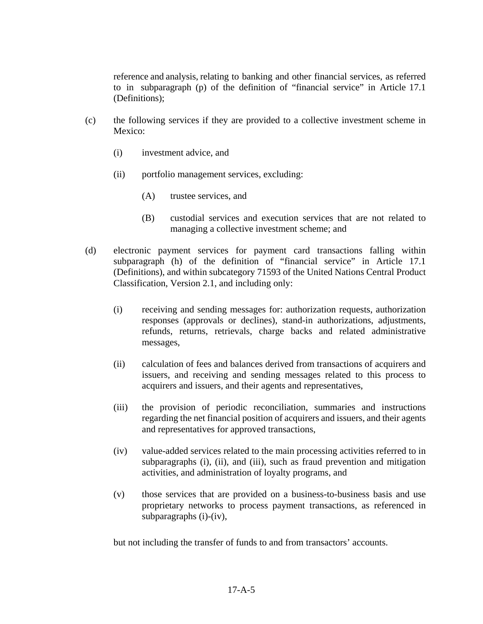reference and analysis, relating to banking and other financial services, as referred to in subparagraph (p) of the definition of "financial service" in Article 17.1 (Definitions);

- (c) the following services if they are provided to a collective investment scheme in Mexico:
	- (i) investment advice, and
	- (ii) portfolio management services, excluding:
		- (A) trustee services, and
		- (B) custodial services and execution services that are not related to managing a collective investment scheme; and
- (d) electronic payment services for payment card transactions falling within subparagraph (h) of the definition of "financial service" in Article 17.1 (Definitions), and within subcategory 71593 of the United Nations Central Product Classification, Version 2.1, and including only:
	- (i) receiving and sending messages for: authorization requests, authorization responses (approvals or declines), stand-in authorizations, adjustments, refunds, returns, retrievals, charge backs and related administrative messages,
	- (ii) calculation of fees and balances derived from transactions of acquirers and issuers, and receiving and sending messages related to this process to acquirers and issuers, and their agents and representatives,
	- (iii) the provision of periodic reconciliation, summaries and instructions regarding the net financial position of acquirers and issuers, and their agents and representatives for approved transactions,
	- (iv) value-added services related to the main processing activities referred to in subparagraphs (i), (ii), and (iii), such as fraud prevention and mitigation activities, and administration of loyalty programs, and
	- (v) those services that are provided on a business-to-business basis and use proprietary networks to process payment transactions, as referenced in subparagraphs (i)-(iv),

but not including the transfer of funds to and from transactors' accounts.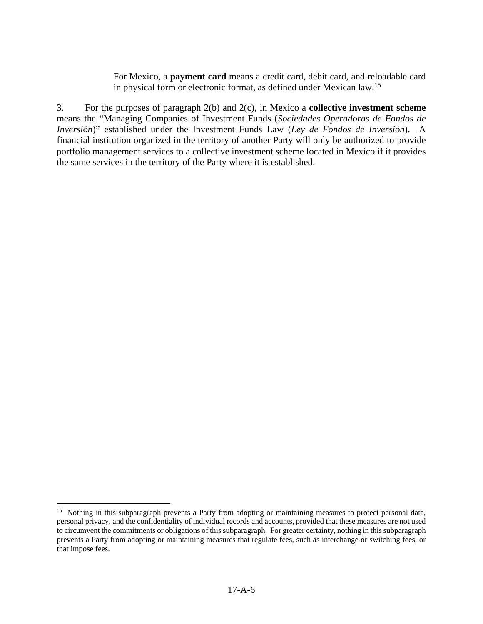For Mexico, a **payment card** means a credit card, debit card, and reloadable card in physical form or electronic format, as defined under Mexican law.[15](#page-23-0)

3. For the purposes of paragraph 2(b) and 2(c), in Mexico a **collective investment scheme** means the "Managing Companies of Investment Funds (*Sociedades Operadoras de Fondos de Inversión*)" established under the Investment Funds Law (*Ley de Fondos de Inversión*). A financial institution organized in the territory of another Party will only be authorized to provide portfolio management services to a collective investment scheme located in Mexico if it provides the same services in the territory of the Party where it is established.

 $\overline{\phantom{a}}$ 

<span id="page-23-0"></span><sup>&</sup>lt;sup>15</sup> Nothing in this subparagraph prevents a Party from adopting or maintaining measures to protect personal data, personal privacy, and the confidentiality of individual records and accounts, provided that these measures are not used to circumvent the commitments or obligations of this subparagraph. For greater certainty, nothing in this subparagraph prevents a Party from adopting or maintaining measures that regulate fees, such as interchange or switching fees, or that impose fees.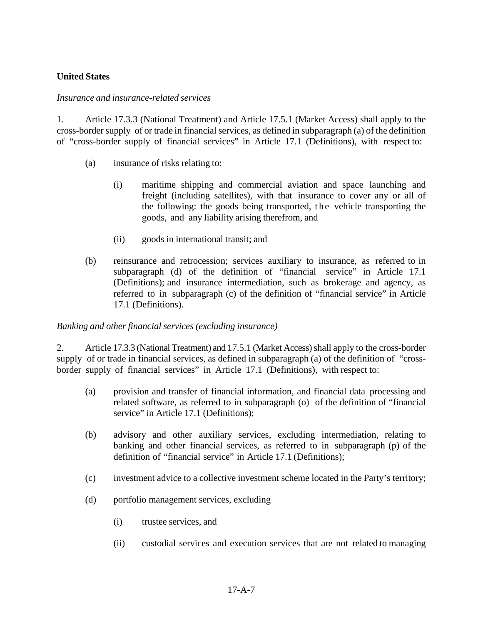# **United States**

## *Insurance and insurance-related services*

1. Article 17.3.3 (National Treatment) and Article 17.5.1 (Market Access) shall apply to the cross-border supply of or trade in financialservices, as defined in subparagraph (a) of the definition of "cross-border supply of financial services" in Article 17.1 (Definitions), with respect to:

- (a) insurance of risks relating to:
	- (i) maritime shipping and commercial aviation and space launching and freight (including satellites), with that insurance to cover any or all of the following: the goods being transported, the vehicle transporting the goods, and any liability arising therefrom, and
	- (ii) goods in international transit; and
- (b) reinsurance and retrocession; services auxiliary to insurance, as referred to in subparagraph (d) of the definition of "financial service" in Article 17.1 (Definitions); and insurance intermediation, such as brokerage and agency, as referred to in subparagraph (c) of the definition of "financial service" in Article 17.1 (Definitions).

## *Banking and other financial services (excluding insurance)*

2. Article 17.3.3 (National Treatment) and 17.5.1 (Market Access) shall apply to the cross-border supply of or trade in financial services, as defined in subparagraph (a) of the definition of "crossborder supply of financial services" in Article 17.1 (Definitions), with respect to:

- (a) provision and transfer of financial information, and financial data processing and related software, as referred to in subparagraph (o) of the definition of "financial service" in Article 17.1 (Definitions);
- (b) advisory and other auxiliary services, excluding intermediation, relating to banking and other financial services, as referred to in subparagraph (p) of the definition of "financial service" in Article 17.1 (Definitions);
- (c) investment advice to a collective investment scheme located in the Party's territory;
- (d) portfolio management services, excluding
	- (i) trustee services, and
	- (ii) custodial services and execution services that are not related to managing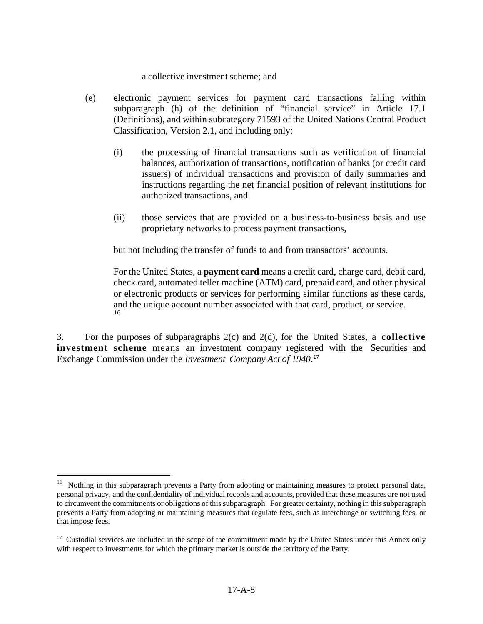### a collective investment scheme; and

- (e) electronic payment services for payment card transactions falling within subparagraph (h) of the definition of "financial service" in Article 17.1 (Definitions), and within subcategory 71593 of the United Nations Central Product Classification, Version 2.1, and including only:
	- (i) the processing of financial transactions such as verification of financial balances, authorization of transactions, notification of banks (or credit card issuers) of individual transactions and provision of daily summaries and instructions regarding the net financial position of relevant institutions for authorized transactions, and
	- (ii) those services that are provided on a business-to-business basis and use proprietary networks to process payment transactions,

but not including the transfer of funds to and from transactors' accounts.

For the United States, a **payment card** means a credit card, charge card, debit card, check card, automated teller machine (ATM) card, prepaid card, and other physical or electronic products or services for performing similar functions as these cards, and the unique account number associated with that card, product, or service. [16](#page-25-0)

3. For the purposes of subparagraphs 2(c) and 2(d), for the United States, a **collective investment scheme** means an investment company registered with the Securities and Exchange Commission under the *Investment Company Act of 1940*. [17](#page-25-1)

 $\overline{\phantom{a}}$ 

<span id="page-25-0"></span><sup>&</sup>lt;sup>16</sup> Nothing in this subparagraph prevents a Party from adopting or maintaining measures to protect personal data, personal privacy, and the confidentiality of individual records and accounts, provided that these measures are not used to circumvent the commitments or obligations of this subparagraph. For greater certainty, nothing in this subparagraph prevents a Party from adopting or maintaining measures that regulate fees, such as interchange or switching fees, or that impose fees.

<span id="page-25-1"></span><sup>&</sup>lt;sup>17</sup> Custodial services are included in the scope of the commitment made by the United States under this Annex only with respect to investments for which the primary market is outside the territory of the Party.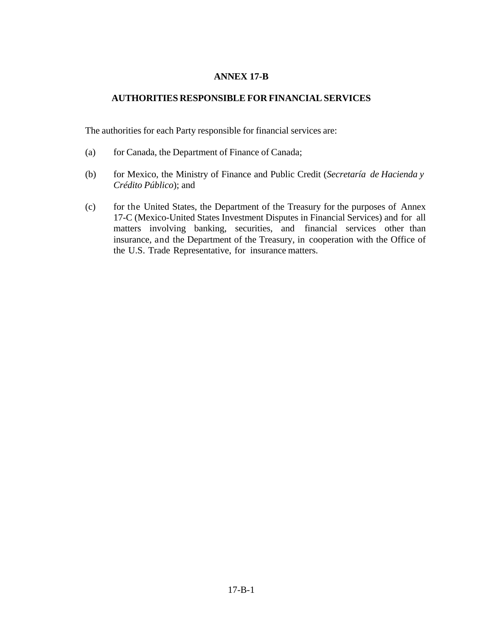## **ANNEX 17-B**

### **AUTHORITIES RESPONSIBLE FOR FINANCIAL SERVICES**

The authorities for each Party responsible for financial services are:

- (a) for Canada, the Department of Finance of Canada;
- (b) for Mexico, the Ministry of Finance and Public Credit (*Secretaría de Hacienda y Crédito Público*); and
- (c) for the United States, the Department of the Treasury for the purposes of Annex 17-C (Mexico-United States Investment Disputes in Financial Services) and for all matters involving banking, securities, and financial services other than insurance, and the Department of the Treasury, in cooperation with the Office of the U.S. Trade Representative, for insurance matters.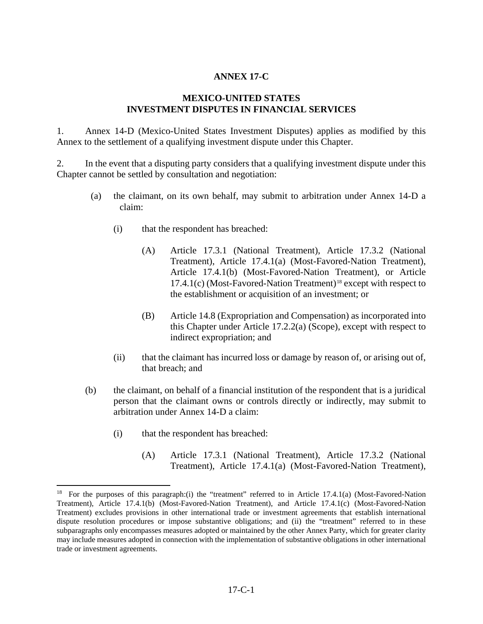## **ANNEX 17-C**

### **MEXICO-UNITED STATES INVESTMENT DISPUTES IN FINANCIAL SERVICES**

1. Annex 14-D (Mexico-United States Investment Disputes) applies as modified by this Annex to the settlement of a qualifying investment dispute under this Chapter.

2. In the event that a disputing party considers that a qualifying investment dispute under this Chapter cannot be settled by consultation and negotiation:

- (a) the claimant, on its own behalf, may submit to arbitration under Annex 14-D a claim:
	- (i) that the respondent has breached:
		- (A) Article 17.3.1 (National Treatment), Article 17.3.2 (National Treatment), Article 17.4.1(a) (Most-Favored-Nation Treatment), Article 17.4.1(b) (Most-Favored-Nation Treatment), or Article 17.4.1(c) (Most-Favored-Nation Treatment)[18](#page-27-0) except with respect to the establishment or acquisition of an investment; or
		- (B) Article 14.8 (Expropriation and Compensation) as incorporated into this Chapter under Article 17.2.2(a) (Scope), except with respect to indirect expropriation; and
	- (ii) that the claimant has incurred loss or damage by reason of, or arising out of, that breach; and
- (b) the claimant, on behalf of a financial institution of the respondent that is a juridical person that the claimant owns or controls directly or indirectly, may submit to arbitration under Annex 14-D a claim:
	- (i) that the respondent has breached:

l

(A) Article 17.3.1 (National Treatment), Article 17.3.2 (National Treatment), Article 17.4.1(a) (Most-Favored-Nation Treatment),

<span id="page-27-0"></span><sup>&</sup>lt;sup>18</sup> For the purposes of this paragraph:(i) the "treatment" referred to in Article 17.4.1(a) (Most-Favored-Nation Treatment), Article 17.4.1(b) (Most-Favored-Nation Treatment), and Article 17.4.1(c) (Most-Favored-Nation Treatment) excludes provisions in other international trade or investment agreements that establish international dispute resolution procedures or impose substantive obligations; and (ii) the "treatment" referred to in these subparagraphs only encompasses measures adopted or maintained by the other Annex Party, which for greater clarity may include measures adopted in connection with the implementation of substantive obligations in other international trade or investment agreements.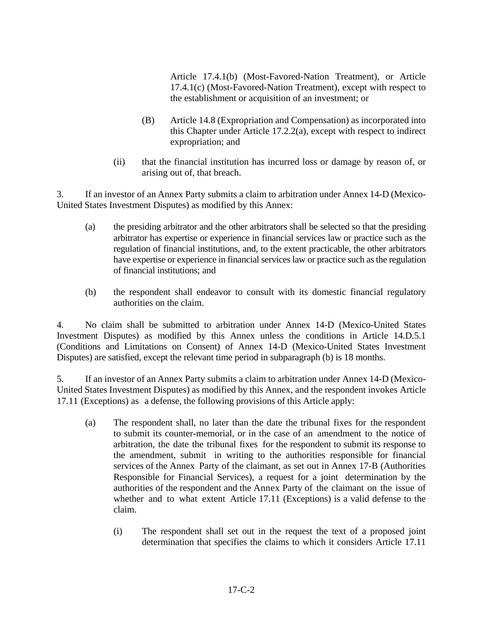Article 17.4.1(b) (Most-Favored-Nation Treatment), or Article 17.4.1(c) (Most-Favored-Nation Treatment), except with respect to the establishment or acquisition of an investment; or

- (B) Article 14.8 (Expropriation and Compensation) as incorporated into this Chapter under Article 17.2.2(a), except with respect to indirect expropriation; and
- (ii) that the financial institution has incurred loss or damage by reason of, or arising out of, that breach.

3. If an investor of an Annex Party submits a claim to arbitration under Annex 14-D (Mexico-United States Investment Disputes) as modified by this Annex:

- (a) the presiding arbitrator and the other arbitrators shall be selected so that the presiding arbitrator has expertise or experience in financial services law or practice such as the regulation of financial institutions, and, to the extent practicable, the other arbitrators have expertise or experience in financial services law or practice such as the regulation of financial institutions; and
- (b) the respondent shall endeavor to consult with its domestic financial regulatory authorities on the claim.

4. No claim shall be submitted to arbitration under Annex 14-D (Mexico-United States Investment Disputes) as modified by this Annex unless the conditions in Article 14.D.5.1 (Conditions and Limitations on Consent) of Annex 14-D (Mexico-United States Investment Disputes) are satisfied, except the relevant time period in subparagraph (b) is 18 months.

5. If an investor of an Annex Party submits a claim to arbitration under Annex 14-D (Mexico-United States Investment Disputes) as modified by this Annex, and the respondent invokes Article 17.11 (Exceptions) as a defense, the following provisions of this Article apply:

- (a) The respondent shall, no later than the date the tribunal fixes for the respondent to submit its counter-memorial, or in the case of an amendment to the notice of arbitration, the date the tribunal fixes for the respondent to submit its response to the amendment, submit in writing to the authorities responsible for financial services of the Annex Party of the claimant, as set out in Annex 17-B (Authorities Responsible for Financial Services), a request for a joint determination by the authorities of the respondent and the Annex Party of the claimant on the issue of whether and to what extent Article 17.11 (Exceptions) is a valid defense to the claim.
	- (i) The respondent shall set out in the request the text of a proposed joint determination that specifies the claims to which it considers Article 17.11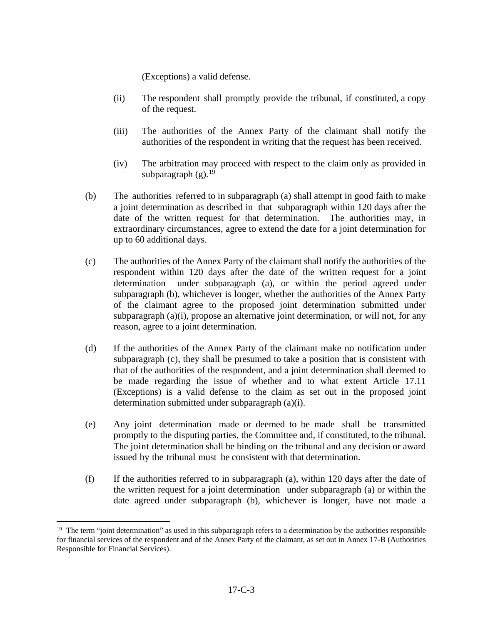(Exceptions) a valid defense.

- (ii) The respondent shall promptly provide the tribunal, if constituted, a copy of the request.
- (iii) The authorities of the Annex Party of the claimant shall notify the authorities of the respondent in writing that the request has been received.
- (iv) The arbitration may proceed with respect to the claim only as provided in subparagraph  $(g)$ ,  $^{19}$  $^{19}$  $^{19}$
- (b) The authorities referred to in subparagraph (a) shall attempt in good faith to make a joint determination as described in that subparagraph within 120 days after the date of the written request for that determination. The authorities may, in extraordinary circumstances, agree to extend the date for a joint determination for up to 60 additional days.
- (c) The authorities of the Annex Party of the claimant shall notify the authorities of the respondent within 120 days after the date of the written request for a joint determination under subparagraph (a), or within the period agreed under subparagraph (b), whichever is longer, whether the authorities of the Annex Party of the claimant agree to the proposed joint determination submitted under subparagraph  $(a)(i)$ , propose an alternative joint determination, or will not, for any reason, agree to a joint determination.
- (d) If the authorities of the Annex Party of the claimant make no notification under subparagraph (c), they shall be presumed to take a position that is consistent with that of the authorities of the respondent, and a joint determination shall deemed to be made regarding the issue of whether and to what extent Article 17.11 (Exceptions) is a valid defense to the claim as set out in the proposed joint determination submitted under subparagraph (a)(i).
- (e) Any joint determination made or deemed to be made shall be transmitted promptly to the disputing parties, the Committee and, if constituted, to the tribunal. The joint determination shall be binding on the tribunal and any decision or award issued by the tribunal must be consistent with that determination.
- (f) If the authorities referred to in subparagraph (a), within 120 days after the date of the written request for a joint determination under subparagraph (a) or within the date agreed under subparagraph (b), whichever is longer, have not made a

 $\overline{a}$ 

<span id="page-29-0"></span> $19$  The term "joint determination" as used in this subparagraph refers to a determination by the authorities responsible for financial services of the respondent and of the Annex Party of the claimant, as set out in Annex 17-B (Authorities Responsible for Financial Services).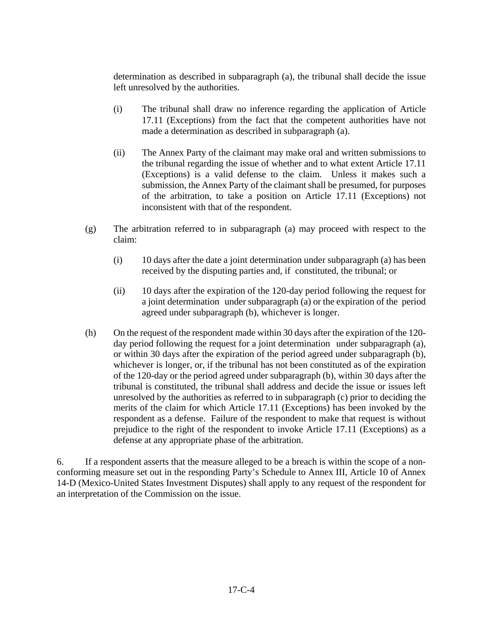determination as described in subparagraph (a), the tribunal shall decide the issue left unresolved by the authorities.

- (i) The tribunal shall draw no inference regarding the application of Article 17.11 (Exceptions) from the fact that the competent authorities have not made a determination as described in subparagraph (a).
- (ii) The Annex Party of the claimant may make oral and written submissions to the tribunal regarding the issue of whether and to what extent Article 17.11 (Exceptions) is a valid defense to the claim. Unless it makes such a submission, the Annex Party of the claimant shall be presumed, for purposes of the arbitration, to take a position on Article 17.11 (Exceptions) not inconsistent with that of the respondent.
- (g) The arbitration referred to in subparagraph (a) may proceed with respect to the claim:
	- (i) 10 days after the date a joint determination under subparagraph (a) has been received by the disputing parties and, if constituted, the tribunal; or
	- (ii) 10 days after the expiration of the 120-day period following the request for a joint determination under subparagraph (a) or the expiration of the period agreed under subparagraph (b), whichever is longer.
- (h) On the request of the respondent made within 30 days after the expiration of the 120 day period following the request for a joint determination under subparagraph (a), or within 30 days after the expiration of the period agreed under subparagraph (b), whichever is longer, or, if the tribunal has not been constituted as of the expiration of the 120-day or the period agreed under subparagraph (b), within 30 days after the tribunal is constituted, the tribunal shall address and decide the issue or issues left unresolved by the authorities as referred to in subparagraph (c) prior to deciding the merits of the claim for which Article 17.11 (Exceptions) has been invoked by the respondent as a defense. Failure of the respondent to make that request is without prejudice to the right of the respondent to invoke Article 17.11 (Exceptions) as a defense at any appropriate phase of the arbitration.

6. If a respondent asserts that the measure alleged to be a breach is within the scope of a nonconforming measure set out in the responding Party's Schedule to Annex III, Article 10 of Annex 14-D (Mexico-United States Investment Disputes) shall apply to any request of the respondent for an interpretation of the Commission on the issue.